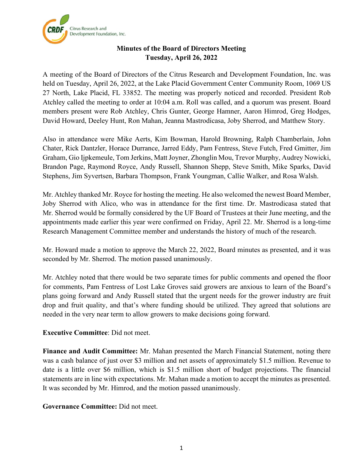

## **Minutes of the Board of Directors Meeting Tuesday, April 26, 2022**

A meeting of the Board of Directors of the Citrus Research and Development Foundation, Inc. was held on Tuesday, April 26, 2022, at the Lake Placid Government Center Community Room, 1069 US 27 North, Lake Placid, FL 33852. The meeting was properly noticed and recorded. President Rob Atchley called the meeting to order at 10:04 a.m. Roll was called, and a quorum was present. Board members present were Rob Atchley, Chris Gunter, George Hamner, Aaron Himrod, Greg Hodges, David Howard, Deeley Hunt, Ron Mahan, Jeanna Mastrodicasa, Joby Sherrod, and Matthew Story.

Also in attendance were Mike Aerts, Kim Bowman, Harold Browning, Ralph Chamberlain, John Chater, Rick Dantzler, Horace Durrance, Jarred Eddy, Pam Fentress, Steve Futch, Fred Gmitter, Jim Graham, Gio Ijpkemeule, Tom Jerkins, Matt Joyner, Zhonglin Mou, Trevor Murphy, Audrey Nowicki, Brandon Page, Raymond Royce, Andy Russell, Shannon Shepp, Steve Smith, Mike Sparks, David Stephens, Jim Syvertsen, Barbara Thompson, Frank Youngman, Callie Walker, and Rosa Walsh.

Mr. Atchley thanked Mr. Royce for hosting the meeting. He also welcomed the newest Board Member, Joby Sherrod with Alico, who was in attendance for the first time. Dr. Mastrodicasa stated that Mr. Sherrod would be formally considered by the UF Board of Trustees at their June meeting, and the appointments made earlier this year were confirmed on Friday, April 22. Mr. Sherrod is a long-time Research Management Committee member and understands the history of much of the research.

Mr. Howard made a motion to approve the March 22, 2022, Board minutes as presented, and it was seconded by Mr. Sherrod. The motion passed unanimously.

Mr. Atchley noted that there would be two separate times for public comments and opened the floor for comments, Pam Fentress of Lost Lake Groves said growers are anxious to learn of the Board's plans going forward and Andy Russell stated that the urgent needs for the grower industry are fruit drop and fruit quality, and that's where funding should be utilized. They agreed that solutions are needed in the very near term to allow growers to make decisions going forward.

## **Executive Committee**: Did not meet.

**Finance and Audit Committee:** Mr. Mahan presented the March Financial Statement, noting there was a cash balance of just over \$3 million and net assets of approximately \$1.5 million. Revenue to date is a little over \$6 million, which is \$1.5 million short of budget projections. The financial statements are in line with expectations. Mr. Mahan made a motion to accept the minutes as presented. It was seconded by Mr. Himrod, and the motion passed unanimously.

**Governance Committee:** Did not meet.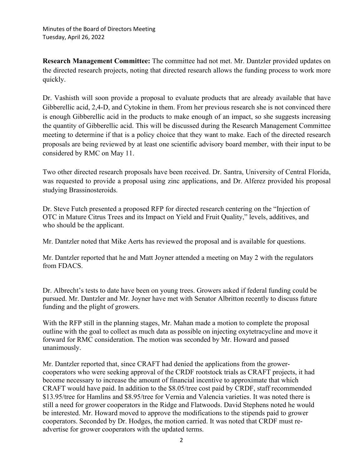**Research Management Committee:** The committee had not met. Mr. Dantzler provided updates on the directed research projects, noting that directed research allows the funding process to work more quickly.

Dr. Vashisth will soon provide a proposal to evaluate products that are already available that have Gibberellic acid, 2,4-D, and Cytokine in them. From her previous research she is not convinced there is enough Gibberellic acid in the products to make enough of an impact, so she suggests increasing the quantity of Gibberellic acid. This will be discussed during the Research Management Committee meeting to determine if that is a policy choice that they want to make. Each of the directed research proposals are being reviewed by at least one scientific advisory board member, with their input to be considered by RMC on May 11.

Two other directed research proposals have been received. Dr. Santra, University of Central Florida, was requested to provide a proposal using zinc applications, and Dr. Alferez provided his proposal studying Brassinosteroids.

Dr. Steve Futch presented a proposed RFP for directed research centering on the "Injection of OTC in Mature Citrus Trees and its Impact on Yield and Fruit Quality," levels, additives, and who should be the applicant.

Mr. Dantzler noted that Mike Aerts has reviewed the proposal and is available for questions.

Mr. Dantzler reported that he and Matt Joyner attended a meeting on May 2 with the regulators from FDACS.

Dr. Albrecht's tests to date have been on young trees. Growers asked if federal funding could be pursued. Mr. Dantzler and Mr. Joyner have met with Senator Albritton recently to discuss future funding and the plight of growers.

With the RFP still in the planning stages, Mr. Mahan made a motion to complete the proposal outline with the goal to collect as much data as possible on injecting oxytetracycline and move it forward for RMC consideration. The motion was seconded by Mr. Howard and passed unanimously.

Mr. Dantzler reported that, since CRAFT had denied the applications from the growercooperators who were seeking approval of the CRDF rootstock trials as CRAFT projects, it had become necessary to increase the amount of financial incentive to approximate that which CRAFT would have paid. In addition to the \$8.05/tree cost paid by CRDF, staff recommended \$13.95/tree for Hamlins and \$8.95/tree for Vernia and Valencia varieties. It was noted there is still a need for grower cooperators in the Ridge and Flatwoods. David Stephens noted he would be interested. Mr. Howard moved to approve the modifications to the stipends paid to grower cooperators. Seconded by Dr. Hodges, the motion carried. It was noted that CRDF must readvertise for grower cooperators with the updated terms.